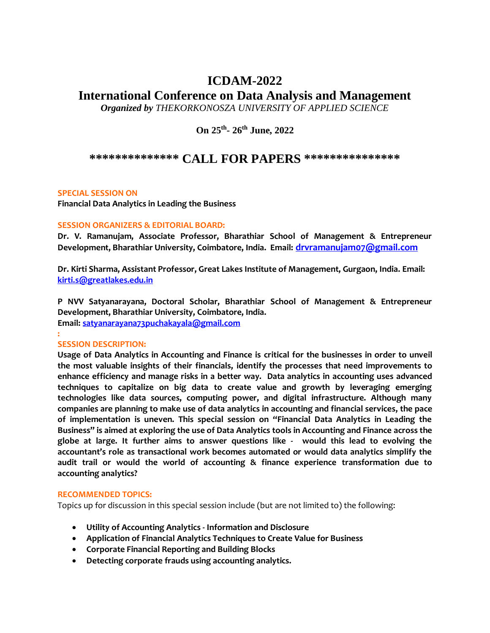# **ICDAM-2022**

# **International Conference on Data Analysis and Management**

*Organized by THEKORKONOSZA UNIVERSITY OF APPLIED SCIENCE* 

**On 25th - 26th June, 2022**

# **\*\*\*\*\*\*\*\*\*\*\*\*\*\* CALL FOR PAPERS \*\*\*\*\*\*\*\*\*\*\*\*\*\*\***

## **SPECIAL SESSION ON**

**Financial Data Analytics in Leading the Business**

## **SESSION ORGANIZERS & EDITORIAL BOARD:**

**Dr. V. Ramanujam, Associate Professor, Bharathiar School of Management & Entrepreneur Development, Bharathiar University, Coimbatore, India. Email: [drvramanujam07@gmail.com](mailto:drvramanujam07@gmail.com)**

**Dr. Kirti Sharma, Assistant Professor, Great Lakes Institute of Management, Gurgaon, India. Email: [kirti.s@greatlakes.edu.in](mailto:kirti.s@greatlakes.edu.in)**

**P NVV Satyanarayana, Doctoral Scholar, Bharathiar School of Management & Entrepreneur Development, Bharathiar University, Coimbatore, India.** 

**Email: [satyanarayana73puchakayala@gmail.com](mailto:satyanarayana73puchakayala@gmail.com) :** 

### **SESSION DESCRIPTION:**

**Usage of Data Analytics in Accounting and Finance is critical for the businesses in order to unveil the most valuable insights of their financials, identify the processes that need improvements to enhance efficiency and manage risks in a better way. Data analytics in accounting uses advanced techniques to capitalize on big data to create value and growth by leveraging emerging technologies like data sources, computing power, and digital infrastructure. Although many companies are planning to make use of data analytics in accounting and financial services, the pace of implementation is uneven. This special session on "Financial Data Analytics in Leading the Business" is aimed at exploring the use of Data Analytics tools in Accounting and Finance across the globe at large. It further aims to answer questions like - would this lead to evolving the accountant's role as transactional work becomes automated or would data analytics simplify the audit trail or would the world of accounting & finance experience transformation due to accounting analytics?**

### **RECOMMENDED TOPICS:**

Topics up for discussion in this special session include (but are not limited to) the following:

- **Utility of Accounting Analytics - Information and Disclosure**
- **Application of Financial Analytics Techniques to Create Value for Business**
- **Corporate Financial Reporting and Building Blocks**
- **Detecting corporate frauds using accounting analytics.**